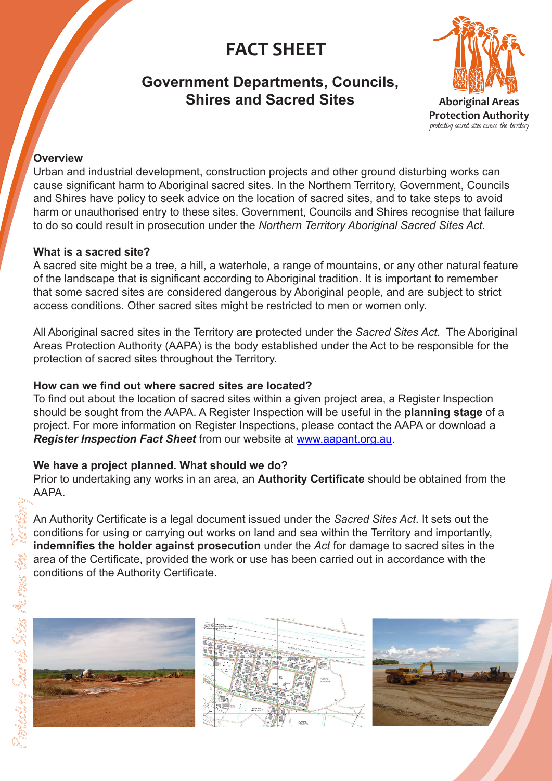# **FACT SHEET**

# **Government Departments, Councils, Shires and Sacred Sites**



protecting sacred sites across the territory

#### **Overview**

Urban and industrial development, construction projects and other ground disturbing works can cause significant harm to Aboriginal sacred sites. In the Northern Territory, Government, Councils and Shires have policy to seek advice on the location of sacred sites, and to take steps to avoid harm or unauthorised entry to these sites. Government, Councils and Shires recognise that failure to do so could result in prosecution under the *Northern Territory Aboriginal Sacred Sites Act*.

#### **What is a sacred site?**

A sacred site might be a tree, a hill, a waterhole, a range of mountains, or any other natural feature of the landscape that is significant according to Aboriginal tradition. It is important to remember that some sacred sites are considered dangerous by Aboriginal people, and are subject to strict access conditions. Other sacred sites might be restricted to men or women only.

All Aboriginal sacred sites in the Territory are protected under the *Sacred Sites Act*. The Aboriginal Areas Protection Authority (AAPA) is the body established under the Act to be responsible for the protection of sacred sites throughout the Territory.

## **How can we find out where sacred sites are located?**

To find out about the location of sacred sites within a given project area, a Register Inspection should be sought from the AAPA. A Register Inspection will be useful in the **planning stage** of a project. For more information on Register Inspections, please contact the AAPA or download a *Register Inspection Fact Sheet* from our website at www.aapant.org.au.

## **We have a project planned. What should we do?**

Prior to undertaking any works in an area, an **Authority Certificate** should be obtained from the AAPA.

An Authority Certificate is a legal document issued under the *Sacred Sites Act*. It sets out the conditions for using or carrying out works on land and sea within the Territory and importantly, **indemnifies the holder against prosecution** under the *Act* for damage to sacred sites in the area of the Certificate, provided the work or use has been carried out in accordance with the conditions of the Authority Certificate.